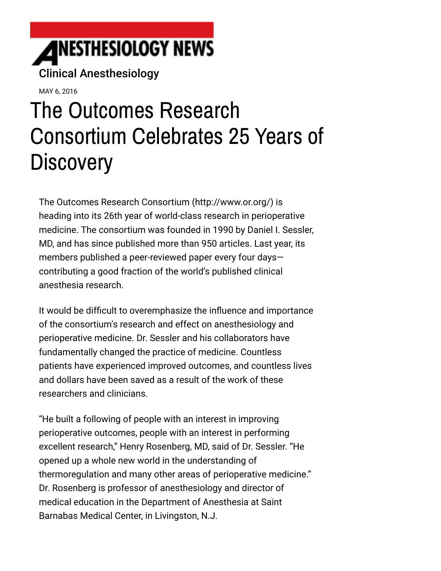

MAY 6, 2016

# The Outcomes Research Consortium Celebrates 25 Years of **Discovery**

The [Outcomes Research Consortium \(http://www.or.org/\)](http://www.or.org/) is heading into its 26th year of world-class research in perioperative medicine. The consortium was founded in 1990 by Daniel I. Sessler, MD, and has since published more than 950 articles. Last year, its members published a peer-reviewed paper every four days contributing a good fraction of the world's published clinical anesthesia research.

It would be difficult to overemphasize the influence and importance of the consortium's research and effect on anesthesiology and perioperative medicine. Dr. Sessler and his collaborators have fundamentally changed the practice of medicine. Countless patients have experienced improved outcomes, and countless lives and dollars have been saved as a result of the work of these researchers and clinicians.

"He built a following of people with an interest in improving perioperative outcomes, people with an interest in performing excellent research," Henry Rosenberg, MD, said of Dr. Sessler. "He opened up a whole new world in the understanding of thermoregulation and many other areas of perioperative medicine." Dr. Rosenberg is professor of anesthesiology and director of medical education in the Department of Anesthesia at Saint Barnabas Medical Center, in Livingston, N.J.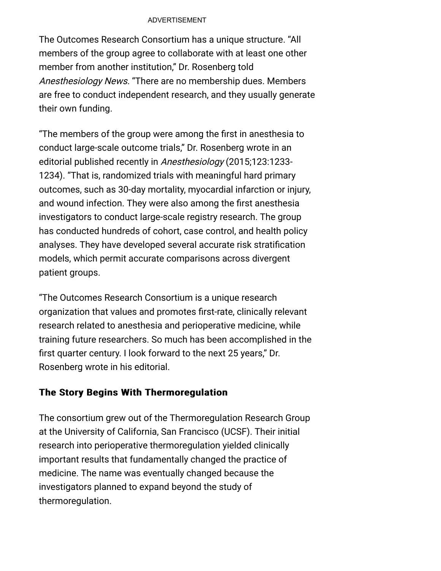#### ADVERTISEMENT

The Outcomes Research Consortium has a unique structure. "All members of the group agree to collaborate with at least one other member from another institution," Dr. Rosenberg told Anesthesiology News. "There are no membership dues. Members are free to conduct independent research, and they usually generate their own funding.

"The members of the group were among the first in anesthesia to conduct large-scale outcome trials," Dr. Rosenberg wrote in an editorial published recently in Anesthesiology (2015;123:1233- 1234). "That is, randomized trials with meaningful hard primary outcomes, such as 30-day mortality, myocardial infarction or injury, and wound infection. They were also among the first anesthesia investigators to conduct large-scale registry research. The group has conducted hundreds of cohort, case control, and health policy analyses. They have developed several accurate risk stratification models, which permit accurate comparisons across divergent patient groups.

"The Outcomes Research Consortium is a unique research organization that values and promotes first-rate, clinically relevant research related to anesthesia and perioperative medicine, while training future researchers. So much has been accomplished in the first quarter century. I look forward to the next 25 years," Dr. Rosenberg wrote in his editorial.

### The Story Begins With Thermoregulation

The consortium grew out of the Thermoregulation Research Group at the University of California, San Francisco (UCSF). Their initial research into perioperative thermoregulation yielded clinically important results that fundamentally changed the practice of medicine. The name was eventually changed because the investigators planned to expand beyond the study of thermoregulation.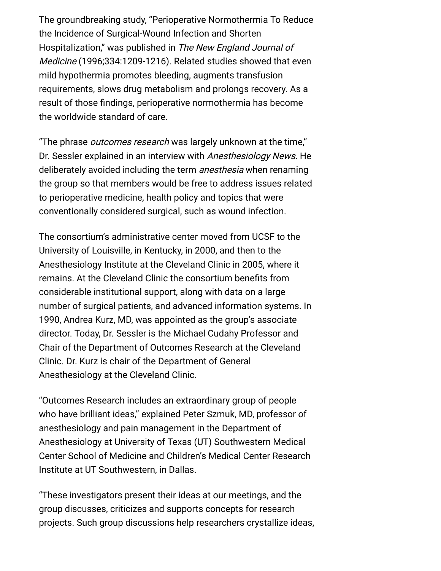The groundbreaking study, "Perioperative Normothermia To Reduce the Incidence of Surgical-Wound Infection and Shorten Hospitalization," was published in The New England Journal of Medicine (1996;334:1209-1216). Related studies showed that even mild hypothermia promotes bleeding, augments transfusion requirements, slows drug metabolism and prolongs recovery. As a result of those findings, perioperative normothermia has become the worldwide standard of care.

"The phrase *outcomes research* was largely unknown at the time," Dr. Sessler explained in an interview with Anesthesiology News. He deliberately avoided including the term *anesthesia* when renaming the group so that members would be free to address issues related to perioperative medicine, health policy and topics that were conventionally considered surgical, such as wound infection.

The consortium's administrative center moved from UCSF to the University of Louisville, in Kentucky, in 2000, and then to the Anesthesiology Institute at the Cleveland Clinic in 2005, where it remains. At the Cleveland Clinic the consortium benefits from considerable institutional support, along with data on a large number of surgical patients, and advanced information systems. In 1990, Andrea Kurz, MD, was appointed as the group's associate director. Today, Dr. Sessler is the Michael Cudahy Professor and Chair of the Department of Outcomes Research at the Cleveland Clinic. Dr. Kurz is chair of the Department of General Anesthesiology at the Cleveland Clinic.

"Outcomes Research includes an extraordinary group of people who have brilliant ideas," explained Peter Szmuk, MD, professor of anesthesiology and pain management in the Department of Anesthesiology at University of Texas (UT) Southwestern Medical Center School of Medicine and Children's Medical Center Research Institute at UT Southwestern, in Dallas.

"These investigators present their ideas at our meetings, and the group discusses, criticizes and supports concepts for research projects. Such group discussions help researchers crystallize ideas,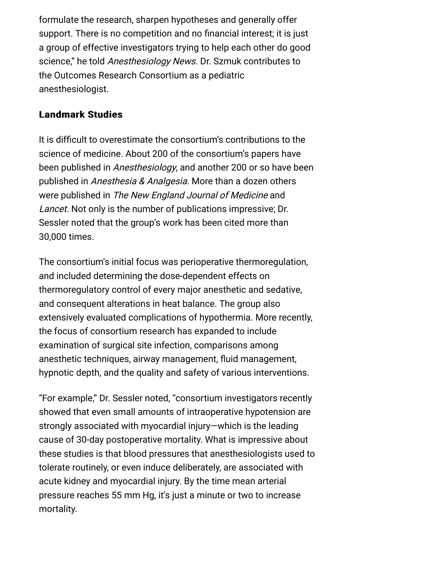formulate the research, sharpen hypotheses and generally offer support. There is no competition and no financial interest; it is just a group of effective investigators trying to help each other do good science," he told Anesthesiology News. Dr. Szmuk contributes to the Outcomes Research Consortium as a pediatric anesthesiologist.

## **Landmark Studies**

It is difficult to overestimate the consortium's contributions to the science of medicine. About 200 of the consortium's papers have been published in Anesthesiology, and another 200 or so have been published in Anesthesia & Analgesia. More than a dozen others were published in The New England Journal of Medicine and Lancet. Not only is the number of publications impressive; Dr. Sessler noted that the group's work has been cited more than 30,000 times.

The consortium's initial focus was perioperative thermoregulation, and included determining the dose-dependent effects on thermoregulatory control of every major anesthetic and sedative, and consequent alterations in heat balance. The group also extensively evaluated complications of hypothermia. More recently, the focus of consortium research has expanded to include examination of surgical site infection, comparisons among anesthetic techniques, airway management, fluid management, hypnotic depth, and the quality and safety of various interventions.

"For example," Dr. Sessler noted, "consortium investigators recently showed that even small amounts of intraoperative hypotension are strongly associated with myocardial injury—which is the leading cause of 30-day postoperative mortality. What is impressive about these studies is that blood pressures that anesthesiologists used to tolerate routinely, or even induce deliberately, are associated with acute kidney and myocardial injury. By the time mean arterial pressure reaches 55 mm Hg, it's just a minute or two to increase mortality.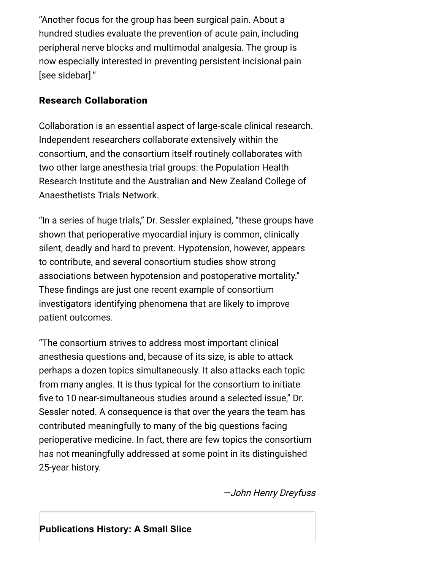"Another focus for the group has been surgical pain. About a hundred studies evaluate the prevention of acute pain, including peripheral nerve blocks and multimodal analgesia. The group is now especially interested in preventing persistent incisional pain [see sidebar]."

## **Research Collaboration**

Collaboration is an essential aspect of large-scale clinical research. Independent researchers collaborate extensively within the consortium, and the consortium itself routinely collaborates with two other large anesthesia trial groups: the Population Health Research Institute and the Australian and New Zealand College of Anaesthetists Trials Network.

"In a series of huge trials," Dr. Sessler explained, "these groups have shown that perioperative myocardial injury is common, clinically silent, deadly and hard to prevent. Hypotension, however, appears to contribute, and several consortium studies show strong associations between hypotension and postoperative mortality." These findings are just one recent example of consortium investigators identifying phenomena that are likely to improve patient outcomes.

"The consortium strives to address most important clinical anesthesia questions and, because of its size, is able to attack perhaps a dozen topics simultaneously. It also attacks each topic from many angles. It is thus typical for the consortium to initiate five to 10 near-simultaneous studies around a selected issue," Dr. Sessler noted. A consequence is that over the years the team has contributed meaningfully to many of the big questions facing perioperative medicine. In fact, there are few topics the consortium has not meaningfully addressed at some point in its distinguished 25-year history.

—John Henry Dreyfuss